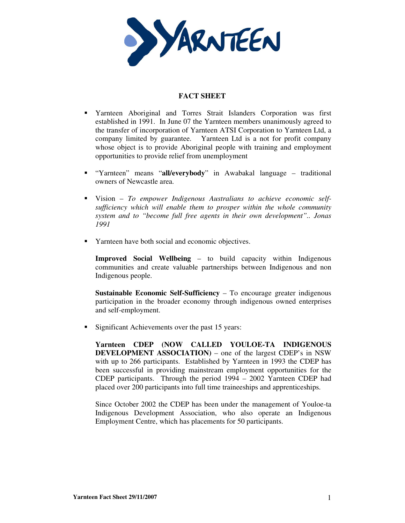

## **FACT SHEET**

- Yarnteen Aboriginal and Torres Strait Islanders Corporation was first established in 1991. In June 07 the Yarnteen members unanimously agreed to the transfer of incorporation of Yarnteen ATSI Corporation to Yarnteen Ltd, a company limited by guarantee. Yarnteen Ltd is a not for profit company whose object is to provide Aboriginal people with training and employment opportunities to provide relief from unemployment
- "Yarnteen" means "**all/everybody**" in Awabakal language traditional owners of Newcastle area.
- Vision *To empower Indigenous Australians to achieve economic selfsufficiency which will enable them to prosper within the whole community system and to "become full free agents in their own development".. Jonas 1991*
- **The Varnteen have both social and economic objectives.**

**Improved Social Wellbeing** – to build capacity within Indigenous communities and create valuable partnerships between Indigenous and non Indigenous people.

**Sustainable Economic Self-Sufficiency** – To encourage greater indigenous participation in the broader economy through indigenous owned enterprises and self-employment.

Significant Achievements over the past 15 years:

**Yarnteen CDEP (NOW CALLED YOULOE-TA INDIGENOUS DEVELOPMENT ASSOCIATION)** – one of the largest CDEP's in NSW with up to 266 participants. Established by Yarnteen in 1993 the CDEP has been successful in providing mainstream employment opportunities for the CDEP participants. Through the period 1994 – 2002 Yarnteen CDEP had placed over 200 participants into full time traineeships and apprenticeships.

Since October 2002 the CDEP has been under the management of Youloe-ta Indigenous Development Association, who also operate an Indigenous Employment Centre, which has placements for 50 participants.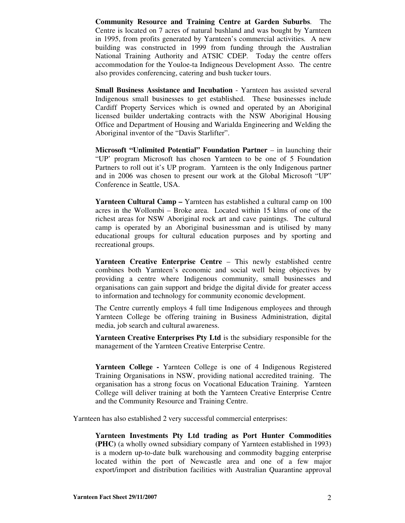**Community Resource and Training Centre at Garden Suburbs**. The Centre is located on 7 acres of natural bushland and was bought by Yarnteen in 1995, from profits generated by Yarnteen's commercial activities. A new building was constructed in 1999 from funding through the Australian National Training Authority and ATSIC CDEP. Today the centre offers accommodation for the Youloe-ta Indigneous Development Asso. The centre also provides conferencing, catering and bush tucker tours.

**Small Business Assistance and Incubation** - Yarnteen has assisted several Indigenous small businesses to get established. These businesses include Cardiff Property Services which is owned and operated by an Aboriginal licensed builder undertaking contracts with the NSW Aboriginal Housing Office and Department of Housing and Warialda Engineering and Welding the Aboriginal inventor of the "Davis Starlifter".

**Microsoft "Unlimited Potential" Foundation Partner** – in launching their "UP' program Microsoft has chosen Yarnteen to be one of 5 Foundation Partners to roll out it's UP program. Yarnteen is the only Indigenous partner and in 2006 was chosen to present our work at the Global Microsoft "UP" Conference in Seattle, USA.

**Yarnteen Cultural Camp –** Yarnteen has established a cultural camp on 100 acres in the Wollombi – Broke area. Located within 15 klms of one of the richest areas for NSW Aboriginal rock art and cave paintings. The cultural camp is operated by an Aboriginal businessman and is utilised by many educational groups for cultural education purposes and by sporting and recreational groups.

**Yarnteen Creative Enterprise Centre** – This newly established centre combines both Yarnteen's economic and social well being objectives by providing a centre where Indigenous community, small businesses and organisations can gain support and bridge the digital divide for greater access to information and technology for community economic development.

The Centre currently employs 4 full time Indigenous employees and through Yarnteen College be offering training in Business Administration, digital media, job search and cultural awareness.

**Yarnteen Creative Enterprises Pty Ltd** is the subsidiary responsible for the management of the Yarnteen Creative Enterprise Centre.

**Yarnteen College -** Yarnteen College is one of 4 Indigenous Registered Training Organisations in NSW, providing national accredited training. The organisation has a strong focus on Vocational Education Training. Yarnteen College will deliver training at both the Yarnteen Creative Enterprise Centre and the Community Resource and Training Centre.

Yarnteen has also established 2 very successful commercial enterprises:

**Yarnteen Investments Pty Ltd trading as Port Hunter Commodities (PHC)** (a wholly owned subsidiary company of Yarnteen established in 1993) is a modern up-to-date bulk warehousing and commodity bagging enterprise located within the port of Newcastle area and one of a few major export/import and distribution facilities with Australian Quarantine approval